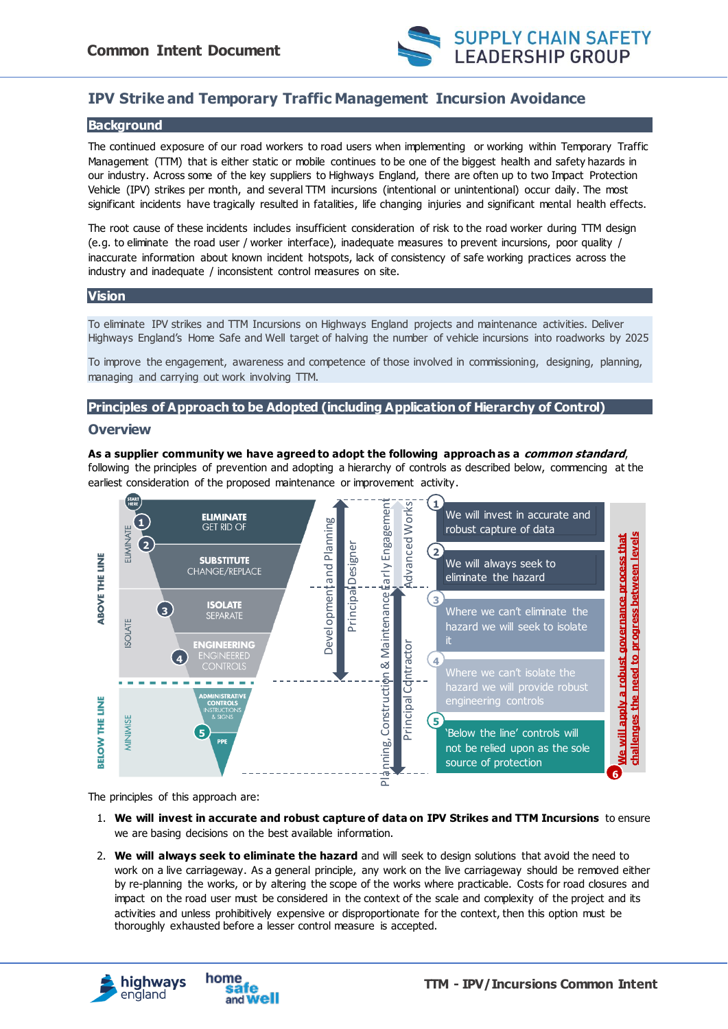

# **IPV Strike and Temporary Traffic Management Incursion Avoidance**

### **Background**

The continued exposure of our road workers to road users when implementing or working within Temporary Traffic Management (TTM) that is either static or mobile continues to be one of the biggest health and safety hazards in our industry. Across some of the key suppliers to Highways England, there are often up to two Impact Protection Vehicle (IPV) strikes per month, and several TTM incursions (intentional or unintentional) occur daily. The most significant incidents have tragically resulted in fatalities, life changing injuries and significant mental health effects.

The root cause of these incidents includes insufficient consideration of risk to the road worker during TTM design (e.g. to eliminate the road user / worker interface), inadequate measures to prevent incursions, poor quality / inaccurate information about known incident hotspots, lack of consistency of safe working practices across the industry and inadequate / inconsistent control measures on site.

#### **Vision**

To eliminate IPV strikes and TTM Incursions on Highways England projects and maintenance activities. Deliver Highways England's Home Safe and Well target of halving the number of vehicle incursions into roadworks by 2025

To improve the engagement, awareness and competence of those involved in commissioning, designing, planning, managing and carrying out work involving TTM.

# **Principles of Approach to be Adopted (including Application of Hierarchy of Control)**

#### **Overview**

#### **As a supplier community we have agreed to adopt the following approach as a common standard**,

following the principles of prevention and adopting a hierarchy of controls as described below, commencing at the earliest consideration of the proposed maintenance or improvement activity.



The principles of this approach are:

- 1. **We will invest in accurate and robust capture of data on IPV Strikes and TTM Incursions** to ensure we are basing decisions on the best available information.
- 2. **We will always seek to eliminate the hazard** and will seek to design solutions that avoid the need to work on a live carriageway. As a general principle, any work on the live carriageway should be removed either by re-planning the works, or by altering the scope of the works where practicable. Costs for road closures and impact on the road user must be considered in the context of the scale and complexity of the project and its activities and unless prohibitively expensive or disproportionate for the context, then this option must be thoroughly exhausted before a lesser control measure is accepted.